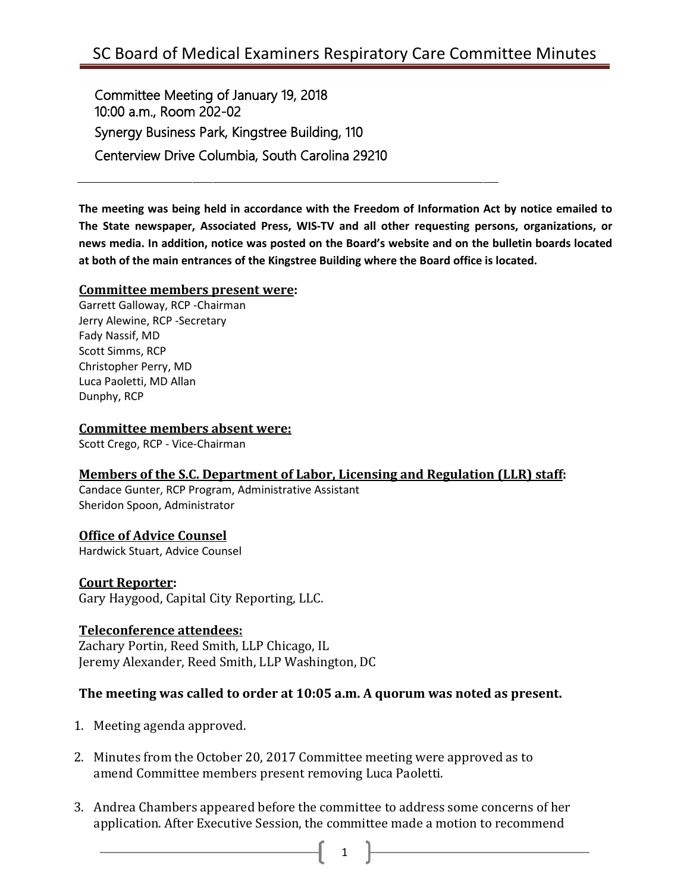Committee Meeting of January 19, 2018 10:00 a.m., Room 202-02 Synergy Business Park, Kingstree Building, 110 Centerview Drive Columbia, South Carolina 29210

**The meeting was being held in accordance with the Freedom of Information Act by notice emailed to The State newspaper, Associated Press, WIS-TV and all other requesting persons, organizations, or news media. In addition, notice was posted on the Board's website and on the bulletin boards located at both of the main entrances of the Kingstree Building where the Board office is located.**

#### **Committee members present were:**

Garrett Galloway, RCP -Chairman Jerry Alewine, RCP -Secretary Fady Nassif, MD Scott Simms, RCP Christopher Perry, MD Luca Paoletti, MD Allan Dunphy, RCP

#### **Committee members absent were:**

Scott Crego, RCP - Vice-Chairman

### **Members of the S.C. Department of Labor, Licensing and Regulation (LLR) staff:**

Candace Gunter, RCP Program, Administrative Assistant Sheridon Spoon, Administrator

## **Office of Advice Counsel**

Hardwick Stuart, Advice Counsel

## **Court Reporter:**

Gary Haygood, Capital City Reporting, LLC.

### **Teleconference attendees:**

Zachary Portin, Reed Smith, LLP Chicago, IL Jeremy Alexander, Reed Smith, LLP Washington, DC

### **The meeting was called to order at 10:05 a.m. A quorum was noted as present.**

- 1. Meeting agenda approved.
- 2. Minutes from the October 20, 2017 Committee meeting were approved as to amend Committee members present removing Luca Paoletti.
- 3. Andrea Chambers appeared before the committee to address some concerns of her application. After Executive Session, the committee made a motion to recommend
	- 1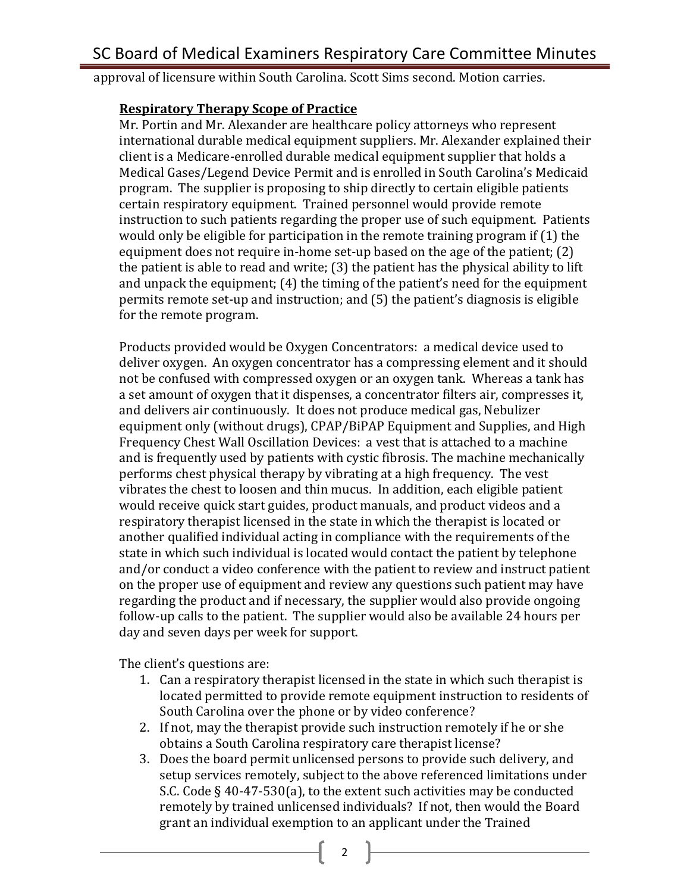approval of licensure within South Carolina. Scott Sims second. Motion carries.

## **Respiratory Therapy Scope of Practice**

Mr. Portin and Mr. Alexander are healthcare policy attorneys who represent international durable medical equipment suppliers. Mr. Alexander explained their client is a Medicare-enrolled durable medical equipment supplier that holds a Medical Gases/Legend Device Permit and is enrolled in South Carolina's Medicaid program. The supplier is proposing to ship directly to certain eligible patients certain respiratory equipment. Trained personnel would provide remote instruction to such patients regarding the proper use of such equipment. Patients would only be eligible for participation in the remote training program if (1) the equipment does not require in-home set-up based on the age of the patient; (2) the patient is able to read and write; (3) the patient has the physical ability to lift and unpack the equipment; (4) the timing of the patient's need for the equipment permits remote set-up and instruction; and (5) the patient's diagnosis is eligible for the remote program.

Products provided would be Oxygen Concentrators: a medical device used to deliver oxygen. An oxygen concentrator has a compressing element and it should not be confused with compressed oxygen or an oxygen tank. Whereas a tank has a set amount of oxygen that it dispenses, a concentrator filters air, compresses it, and delivers air continuously. It does not produce medical gas, Nebulizer equipment only (without drugs), CPAP/BiPAP Equipment and Supplies, and High Frequency Chest Wall Oscillation Devices: a vest that is attached to a machine and is frequently used by patients with cystic fibrosis. The machine mechanically performs chest physical therapy by vibrating at a high frequency. The vest vibrates the chest to loosen and thin mucus. In addition, each eligible patient would receive quick start guides, product manuals, and product videos and a respiratory therapist licensed in the state in which the therapist is located or another qualified individual acting in compliance with the requirements of the state in which such individual is located would contact the patient by telephone and/or conduct a video conference with the patient to review and instruct patient on the proper use of equipment and review any questions such patient may have regarding the product and if necessary, the supplier would also provide ongoing follow-up calls to the patient. The supplier would also be available 24 hours per day and seven days per week for support.

The client's questions are:

- 1. Can a respiratory therapist licensed in the state in which such therapist is located permitted to provide remote equipment instruction to residents of South Carolina over the phone or by video conference?
- 2. If not, may the therapist provide such instruction remotely if he or she obtains a South Carolina respiratory care therapist license?
- 3. Does the board permit unlicensed persons to provide such delivery, and setup services remotely, subject to the above referenced limitations under S.C. Code § 40-47-530(a), to the extent such activities may be conducted remotely by trained unlicensed individuals? If not, then would the Board grant an individual exemption to an applicant under the Trained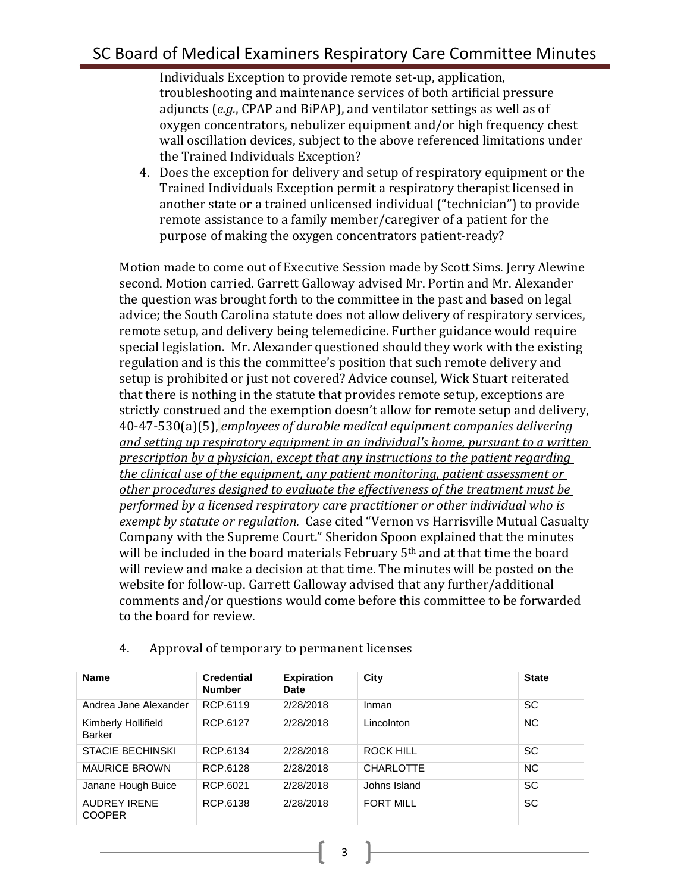# SC Board of Medical Examiners Respiratory Care Committee Minutes

Individuals Exception to provide remote set-up, application, troubleshooting and maintenance services of both artificial pressure adjuncts (*e.g.*, CPAP and BiPAP), and ventilator settings as well as of oxygen concentrators, nebulizer equipment and/or high frequency chest wall oscillation devices, subject to the above referenced limitations under the Trained Individuals Exception?

4. Does the exception for delivery and setup of respiratory equipment or the Trained Individuals Exception permit a respiratory therapist licensed in another state or a trained unlicensed individual ("technician") to provide remote assistance to a family member/caregiver of a patient for the purpose of making the oxygen concentrators patient-ready?

Motion made to come out of Executive Session made by Scott Sims. Jerry Alewine second. Motion carried. Garrett Galloway advised Mr. Portin and Mr. Alexander the question was brought forth to the committee in the past and based on legal advice; the South Carolina statute does not allow delivery of respiratory services, remote setup, and delivery being telemedicine. Further guidance would require special legislation. Mr. Alexander questioned should they work with the existing regulation and is this the committee's position that such remote delivery and setup is prohibited or just not covered? Advice counsel, Wick Stuart reiterated that there is nothing in the statute that provides remote setup, exceptions are strictly construed and the exemption doesn't allow for remote setup and delivery, 40-47-530(a)(5), *employees of durable medical equipment companies delivering and setting up respiratory equipment in an individual's home, pursuant to a written prescription by a physician, except that any instructions to the patient regarding the clinical use of the equipment, any patient monitoring, patient assessment or other procedures designed to evaluate the effectiveness of the treatment must be performed by a licensed respiratory care practitioner or other individual who is exempt by statute or regulation.* Case cited "Vernon vs Harrisville Mutual Casualty Company with the Supreme Court." Sheridon Spoon explained that the minutes will be included in the board materials February 5<sup>th</sup> and at that time the board will review and make a decision at that time. The minutes will be posted on the website for follow-up. Garrett Galloway advised that any further/additional comments and/or questions would come before this committee to be forwarded to the board for review.

| <b>Name</b>                          | <b>Credential</b><br><b>Number</b> | <b>Expiration</b><br><b>Date</b> | City             | <b>State</b> |
|--------------------------------------|------------------------------------|----------------------------------|------------------|--------------|
| Andrea Jane Alexander                | RCP.6119                           | 2/28/2018                        | Inman            | <b>SC</b>    |
| Kimberly Hollifield<br><b>Barker</b> | RCP.6127                           | 2/28/2018                        | Lincolnton       | <b>NC</b>    |
| <b>STACIE BECHINSKI</b>              | RCP.6134                           | 2/28/2018                        | <b>ROCK HILL</b> | SC           |
| <b>MAURICE BROWN</b>                 | RCP.6128                           | 2/28/2018                        | <b>CHARLOTTE</b> | <b>NC</b>    |
| Janane Hough Buice                   | RCP.6021                           | 2/28/2018                        | Johns Island     | <b>SC</b>    |
| <b>AUDREY IRENE</b><br><b>COOPER</b> | RCP.6138                           | 2/28/2018                        | <b>FORT MILL</b> | <b>SC</b>    |

3

4. Approval of temporary to permanent licenses